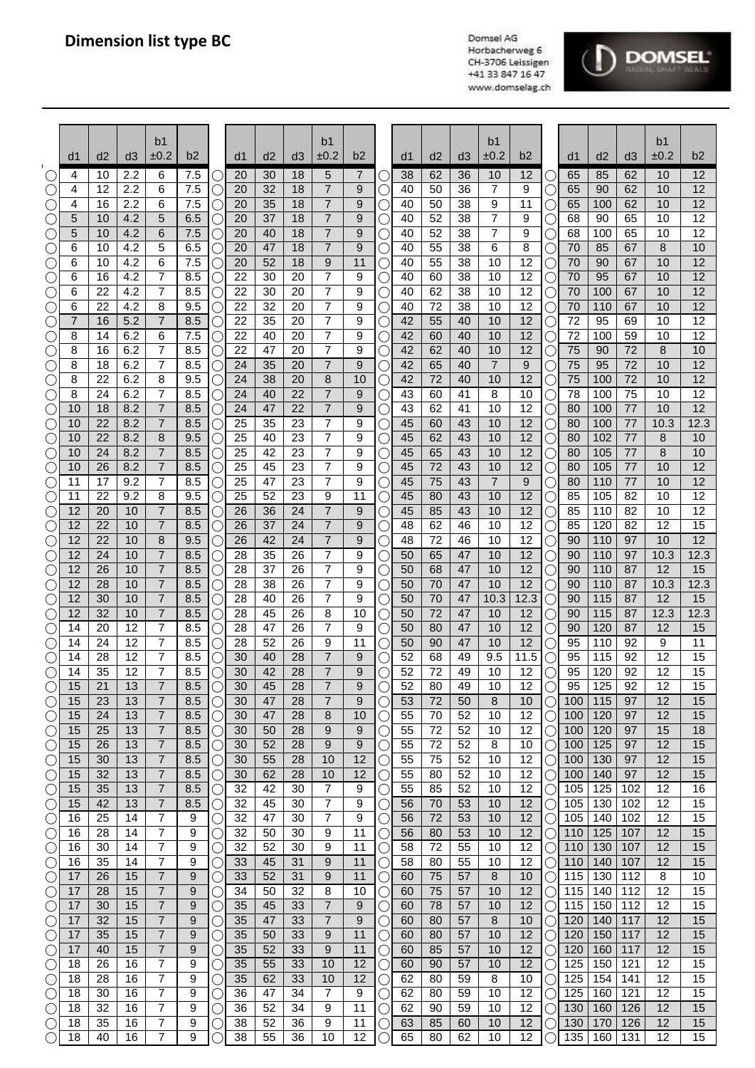

|                                    | d1       | d2       | d3         | b <sub>1</sub><br>±0.2 | b2         |             | d1       | d2       | d3       | b <sub>1</sub><br>±0.2           | b2       |                | d1       | d <sub>2</sub> | d3       | b1<br>±0.2           | b <sub>2</sub> |                 | d1         | d2         | d3         | b1<br>±0.2 | b2                    |
|------------------------------------|----------|----------|------------|------------------------|------------|-------------|----------|----------|----------|----------------------------------|----------|----------------|----------|----------------|----------|----------------------|----------------|-----------------|------------|------------|------------|------------|-----------------------|
|                                    | 4        | 10       | 2.2        | 6                      | 7.5        |             | 20       | 30       | 18       | 5                                | 7        |                | 38       | 62             | 36       | 10                   | 12             | ( )             | 65         | 85         | 62         | 10         | 12                    |
|                                    | 4        | 12       | 2.2        | 6                      | 7.5        | С           | 20       | 32       | 18       | $\overline{7}$                   | 9        |                | 40       | 50             | 36       | 7                    | 9              | O               | 65         | 90         | 62         | 10         | 12                    |
|                                    | 4        | 16       | 2.2        | 6                      | 7.5        | $\cup$      | 20       | 35       | 18       | 7                                | 9        |                | 40       | 50             | 38       | 9                    | 11             | О               | 65         | 100        | 62         | 10         | 12                    |
| $\bigcirc$                         | 5<br>5   | 10<br>10 | 4.2<br>4.2 | 5<br>6                 | 6.5<br>7.5 |             | 20<br>20 | 37<br>40 | 18<br>18 | $\overline{7}$<br>$\overline{7}$ | 9<br>9   |                | 40       | 52<br>52       | 38<br>38 | 7<br>$\overline{7}$  | 9<br>9         | O               | 68<br>68   | 90<br>100  | 65<br>65   | 10<br>10   | $\overline{12}$<br>12 |
| $(\ )$<br>$\bigcirc$               | 6        | 10       | 4.2        | 5                      | 6.5        | С<br>С      | 20       | 47       | 18       | $\overline{7}$                   | 9        |                | 40<br>40 | 55             | 38       | 6                    | 8              | О<br>О          | 70         | 85         | 67         | 8          | 10                    |
| O                                  | 6        | 10       | 4.2        | 6                      | 7.5        | С           | 20       | 52       | 18       | 9                                | 11       |                | 40       | 55             | 38       | 10                   | 12             | О               | 70         | 90         | 67         | 10         | 12                    |
| O                                  | 6        | 16       | 4.2        | $\overline{7}$         | 8.5        | C           | 22       | 30       | 20       | $\overline{7}$                   | 9        |                | 40       | 60             | 38       | 10                   | 12             | О               | 70         | 95         | 67         | 10         | 12                    |
| C                                  | 6        | 22       | 4.2        | $\overline{7}$         | 8.5        | C           | 22       | 30       | 20       | 7                                | 9        |                | 40       | 62             | 38       | 10                   | 12             | О               | 70         | 100        | 67         | 10         | 12                    |
| ⊖<br>C .                           | 6<br>7   | 22<br>16 | 4.2<br>5.2 | 8<br>$\overline{7}$    | 9.5<br>8.5 | О           | 22<br>22 | 32<br>35 | 20<br>20 | $\overline{7}$<br>7              | 9<br>9   |                | 40<br>42 | 72<br>55       | 38<br>40 | 10<br>10             | 12<br>12       | Ο<br>O          | 70<br>72   | 110<br>95  | 67<br>69   | 10<br>10   | 12<br>$\overline{12}$ |
|                                    | 8        | 14       | 6.2        | 6                      | 7.5        |             | 22       | 40       | 20       | 7                                | 9        |                | 42       | 60             | 40       | 10                   | 12             | О               | 72         | 100        | 59         | 10         | 12                    |
|                                    | 8        | 16       | 6.2        | 7                      | 8.5        |             | 22       | 47       | 20       | 7                                | 9        |                | 42       | 62             | 40       | 10                   | 12             | O               | 75         | 90         | 72         | 8          | 10                    |
|                                    | 8        | 18       | 6.2        | 7                      | 8.5        |             | 24       | 35       | 20       | $\overline{7}$                   | 9        |                | 42       | 65             | 40       | $\overline{7}$       | 9              | 0               | 75         | 95         | 72         | 10         | 12                    |
| O                                  | 8        | 22<br>24 | 6.2<br>6.2 | 8<br>7                 | 9.5<br>8.5 | С           | 24<br>24 | 38<br>40 | 20<br>22 | 8<br>$\overline{7}$              | 10       |                | 42       | 72<br>60       | 40<br>41 | 10                   | 12<br>10       | О               | 75<br>78   | 100<br>100 | 72<br>75   | 10<br>10   | 12<br>12              |
| C<br>C                             | 8<br>10  | 18       | 8.2        | $\overline{7}$         | 8.5        | $\cup$<br>С | 24       | 47       | 22       | $\overline{7}$                   | 9<br>9   |                | 43<br>43 | 62             | 41       | 8<br>10              | 12             | О<br>U          | 80         | 100        | 77         | 10         | $\overline{12}$       |
|                                    | 10       | 22       | 8.2        | 7                      | 8.5        | С           | 25       | 35       | 23       | $\overline{7}$                   | 9        |                | 45       | 60             | 43       | 10                   | 12             | $\bigcirc$      | 80         | 100        | 77         | 10.3       | 12.3                  |
|                                    | 10       | 22       | 8.2        | 8                      | 9.5        | С           | 25       | 40       | 23       | 7                                | 9        |                | 45       | 62             | 43       | 10                   | 12             | $\bigcirc$      | 80         | 102        | 77         | 8          | 10                    |
|                                    | 10       | 24       | 8.2        | $\overline{7}$         | 8.5        | С           | 25       | 42       | 23       | 7                                | 9        |                | 45       | 65             | 43       | 10                   | 12             | $\bigcirc$      | 80         | 105        | 77         | 8          | 10                    |
| С<br>C                             | 10<br>11 | 26<br>17 | 8.2<br>9.2 | $\overline{7}$<br>7    | 8.5<br>8.5 | C<br>О      | 25<br>25 | 45<br>47 | 23<br>23 | 7<br>7                           | 9<br>9   |                | 45<br>45 | 72<br>75       | 43<br>43 | 10<br>$\overline{7}$ | 12<br>9        | О<br>O          | 80<br>80   | 105<br>110 | 77<br>77   | 10<br>10   | 12<br>12              |
|                                    | 11       | 22       | 9.2        | 8                      | 9.5        |             | 25       | 52       | 23       | 9                                | 11       |                | 45       | 80             | 43       | 10                   | 12             | O               | 85         | 105        | 82         | 10         | $\overline{12}$       |
|                                    | 12       | 20       | 10         | 7                      | 8.5        |             | 26       | 36       | 24       | $\overline{7}$                   | 9        |                | 45       | 85             | 43       | 10                   | 12             | О               | 85         | 110        | 82         | 10         | 12                    |
|                                    | 12       | 22       | 10         | 7                      | 8.5        |             | 26       | 37       | 24       | 7                                | 9        |                | 48       | 62             | 46       | 10                   | 12             | О               | 85         | 120        | 82         | 12         | 15                    |
|                                    | 12       | 22       | 10         | 8<br>$\overline{7}$    | 9.5        | С           | 26       | 42       | 24       | $\overline{7}$<br>7              | 9        |                | 48       | 72             | 46       | 10                   | 12             | O               | 90         | 110        | 97         | 10         | $\overline{12}$       |
| C                                  | 12<br>12 | 24<br>26 | 10<br>10   | $\overline{7}$         | 8.5<br>8.5 | С<br>Ċ      | 28<br>28 | 35<br>37 | 26<br>26 | 7                                | 9<br>9   |                | 50<br>50 | 65<br>68       | 47<br>47 | 10<br>10             | 12<br>12       | О<br>О          | 90<br>90   | 110<br>110 | 97<br>87   | 10.3<br>12 | 12.3<br>15            |
| C                                  | 12       | 28       | 10         | 7                      | 8.5        | C           | 28       | 38       | 26       | 7                                | 9        |                | 50       | 70             | 47       | 10                   | 12             | О               | 90         | 110        | 87         | 10.3       | 12.3                  |
| $(\ \ )$                           | 12       | 30       | 10         | $\overline{7}$         | 8.5        | С           | 28       | 40       | 26       | 7                                | 9        |                | 50       | 70             | 47       | 10.3                 | 12.3           | $\bigcirc$      | 90         | 115        | 87         | 12         | 15                    |
|                                    | 12       | 32       | 10         | $\overline{7}$         | 8.5        | С           | 28       | 45       | 26       | 8                                | 10       |                | 50       | 72             | 47       | 10                   | 12             | $\bigcirc$      | 90         | 115        | 87         | 12.3       | 12.3                  |
|                                    | 14<br>14 | 20<br>24 | 12<br>12   | $\overline{7}$<br>7    | 8.5<br>8.5 | С           | 28<br>28 | 47<br>52 | 26<br>26 | 7<br>9                           | 9<br>11  |                | 50<br>50 | 80<br>90       | 47<br>47 | 10<br>10             | 12<br>12       | О<br>$\bigcirc$ | 90<br>95   | 120<br>110 | 87<br>92   | 12<br>9    | 15<br>$\overline{11}$ |
|                                    | 14       | 28       | 12         | 7                      | 8.5        |             | 30       | 40       | 28       | $\overline{7}$                   | 9        |                | 52       | 68             | 49       | 9.5                  | 11.5           | О               | 95         | 115        | 92         | 12         | 15                    |
| C                                  | 14       | 35       | 12         | 7                      | 8.5        |             | 30       | 42       | 28       | 7                                | 9        |                | 52       | 72             | 49       | 10                   | 12             | О               | 95         | 120        | 92         | 12         | 15                    |
| $\bigcirc$                         | 15       | 21       | 13         | $\overline{7}$         | 8.5        |             | 30       | 45       | 28       | 7                                | q        |                | 52       | 80             | 49       | 10                   | 12             |                 | 95         | 125        | 92         | 12         | 15                    |
|                                    | 15       | 23       | 13         | 7                      | 8.5        | С           | 30       | 47       | 28       | 7                                | 9        |                | 53       | 72             | 50       | 8                    | 10             | О               | 100        | 115        | 97         | 12         | 15                    |
|                                    | 15<br>15 | 24<br>25 | 13<br>13   | 7<br>7                 | 8.5<br>8.5 | C<br>C      | 30<br>30 | 47<br>50 | 28<br>28 | 8<br>9                           | 10<br>9  |                | 55<br>55 | 70<br>72       | 52<br>52 | 10<br>10             | 12<br>12       | O<br>O          | 100<br>100 | 120<br>120 | 97<br>97   | 12<br>15   | 15<br>18              |
| $\bigcirc$                         | 15       | 26       | 13         | 7                      | 8.5        | C           | 30       | 52       | 28       | 9                                | 9        |                | 55       | 72             | 52       | 8                    | 10             | О               | 100        | 125        | 97         | 12         | 15                    |
| С                                  | 15       | 30       | 13         | 7                      | 8.5        | C           | 30       | 55       | 28       | 10                               | 12       | l.             | 55       | 75             | 52       | 10                   | 12             | О               | 100        | 130        | 97         | 12         | 15                    |
| C                                  | 15       | 32       | 13         | 7                      | 8.5        | С           | 30       | 62       | 28       | 10                               | 12       | U              | 55       | 80             | 52       | 10                   | 12             | O               | 100        | 140        | 97         | 12         | 15                    |
| O<br>$\left(\right)$               | 15<br>15 | 35<br>42 | 13<br>13   | 7<br>7                 | 8.5<br>8.5 | С<br>С      | 32<br>32 | 42<br>45 | 30<br>30 | $\overline{7}$<br>7              | 9<br>9   | l,<br>C        | 55<br>56 | 85<br>70       | 52<br>53 | 10<br>10             | 12<br>12       | О<br>$\bigcirc$ | 105<br>105 | 125<br>130 | 102<br>102 | 12<br>12   | 16<br>15              |
| O                                  | 16       | 25       | 14         | $\overline{7}$         | 9          | С           | 32       | 47       | 30       | 7                                | 9        |                | 56       | 72             | 53       | 10                   | 12             | О               | 105        | 140        | 102        | 12         | 15                    |
| $\bigcirc$                         | 16       | 28       | 14         | $\overline{7}$         | 9          | С           | 32       | 50       | 30       | 9                                | 11       |                | 56       | 80             | 53       | 10                   | 12             | $\bigcirc$      | 110        | 125        | 107        | 12         | 15                    |
| O                                  | 16       | 30       | 14         | 7                      | 9          | С           | 32       | 52       | 30       | 9                                | 11       | C              | 58       | 72             | 55       | 10                   | 12             | О               | 110        | 130        | 107        | 12         | 15                    |
| $\left(\right)$                    | 16       | 35       | 14         | 7                      | 9          | ○           | 33       | 45       | 31       | 9                                | 11       | $(\quad)$      | 58       | 80             | 55       | 10                   | 12             | O               | 110        | 140        | 107        | 12         | 15                    |
| $\left(\right)$                    | 17<br>17 | 26<br>28 | 15<br>15   | 7<br>7                 | 9<br>9     | ○<br>C      | 33<br>34 | 52<br>50 | 31<br>32 | 9<br>8                           | 11<br>10 | $(\quad)$<br>U | 60<br>60 | 75<br>75       | 57<br>57 | 8<br>10              | 10<br>12       | O<br>O          | 115<br>115 | 130<br>140 | 112<br>112 | 8<br>12    | 10<br>15              |
| O                                  | 17       | 30       | 15         | 7                      | 9          |             | 35       | 45       | 33       | $\overline{7}$                   | 9        |                | 60       | 78             | 57       | 10                   | 12             | O               | 115        | 150        | 112        | 12         | 15                    |
| O                                  | 17       | 32       | 15         | 7                      | 9          | С           | 35       | 47       | 33       | 7                                | 9        |                | 60       | 80             | 57       | 8                    | 10             | O               | 120        | 140        | 117        | 12         | 15                    |
| O                                  | 17       | 35       | 15         | $\overline{7}$         | 9          | C           | 35       | 50       | 33       | 9                                | 11       | C              | 60       | 80             | 57       | 10                   | 12             | О               | 120        | 150        | 117        | 12         | 15                    |
| O                                  | 17<br>18 | 40<br>26 | 15<br>16   | $\overline{7}$<br>7    | 9<br>9     | C           | 35<br>35 | 52<br>55 | 33<br>33 | 9<br>10                          | 11<br>12 | U              | 60<br>60 | 85<br>90       | 57<br>57 | 10<br>10             | 12<br>12       | О               | 120<br>125 | 160<br>150 | 117<br>121 | 12<br>12   | 15<br>15              |
| $\left(\right)$<br>$\left(\right)$ | 18       | 28       | 16         | $\overline{7}$         | 9          | С<br>C      | 35       | 62       | 33       | 10                               | 12       | U<br>( )       | 62       | 80             | 59       | 8                    | 10             | О<br>$\bigcirc$ | 125        | 154        | 141        | 12         | 15                    |
| $\left(\right)$                    | 18       | 30       | 16         | 7                      | 9          | С           | 36       | 47       | 34       | 7                                | 9        |                | 62       | 80             | 59       | 10                   | 12             | $\bigcirc$      | 125        | 160        | 121        | 12         | 15                    |
| O                                  | 18       | 32       | 16         | 7                      | 9          | С           | 36       | 52       | 34       | 9                                | 11       |                | 62       | 90             | 59       | 10                   | 12             | О               | 130        | 160        | 126        | 12         | 15                    |
| C                                  | 18       | 35       | 16         | $\overline{7}$         | 9          |             | 38       | 52       | 36       | 9                                | 11       |                | 63       | 85             | 60       | 10                   | 12             | О               | 130        | 170        | 126        | 12         | 15                    |
| $\bigcirc$                         | 18       | 40       | 16         | 7                      | 9          |             | 38       | 55       | 36       | 10                               | 12       |                | 65       | 80             | 62       | 10                   | 12             |                 | 135        | 160        | 131        | 12         | 15                    |